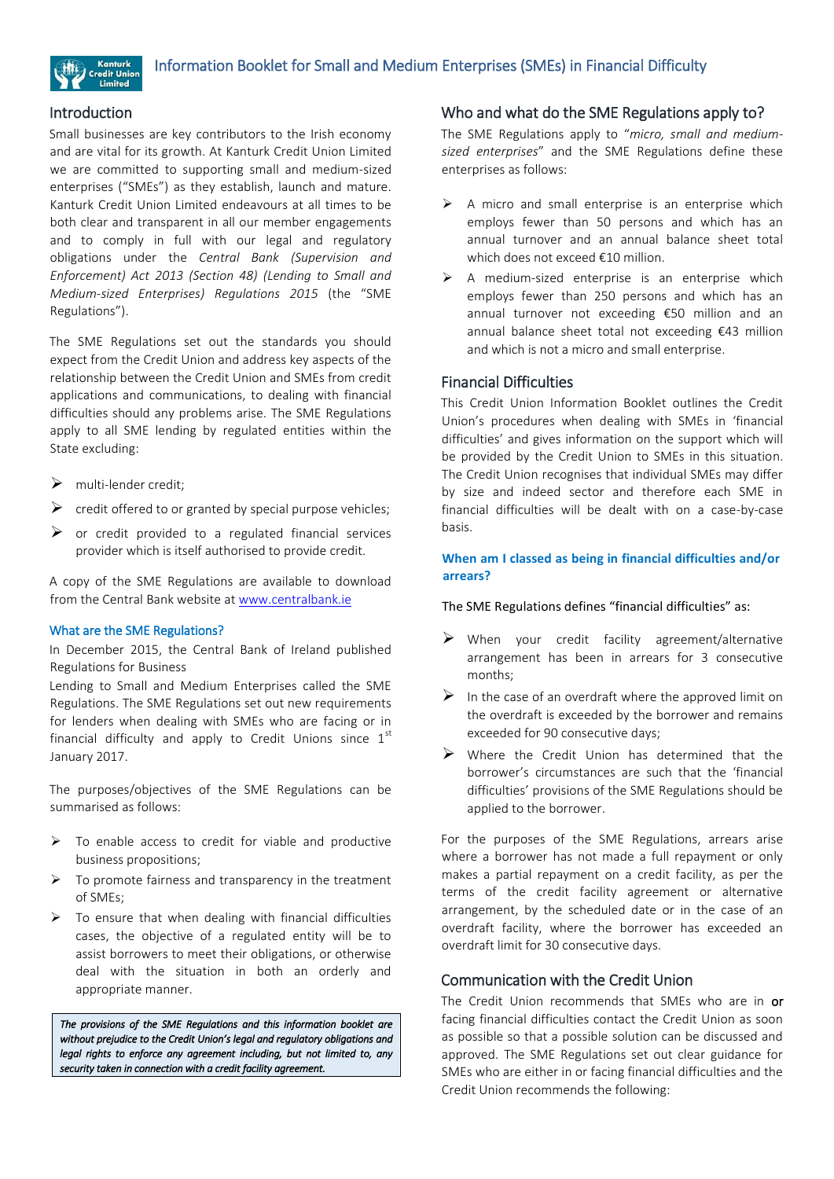

### Introduction

Small businesses are key contributors to the Irish economy and are vital for its growth. At Kanturk Credit Union Limited we are committed to supporting small and medium-sized enterprises ("SMEs") as they establish, launch and mature. Kanturk Credit Union Limited endeavours at all times to be both clear and transparent in all our member engagements and to comply in full with our legal and regulatory obligations under the *Central Bank (Supervision and Enforcement) Act 2013 (Section 48) (Lending to Small and Medium-sized Enterprises) Regulations 2015* (the "SME Regulations").

The SME Regulations set out the standards you should expect from the Credit Union and address key aspects of the relationship between the Credit Union and SMEs from credit applications and communications, to dealing with financial difficulties should any problems arise. The SME Regulations apply to all SME lending by regulated entities within the State excluding:

- $\triangleright$  multi-lender credit:
- $\triangleright$  credit offered to or granted by special purpose vehicles;
- $\triangleright$  or credit provided to a regulated financial services provider which is itself authorised to provide credit.

A copy of the SME Regulations are available to download from the Central Bank website a[t www.centralbank.ie](http://www.centralbank.ie/) 

#### What are the SME Regulations?

In December 2015, the Central Bank of Ireland published Regulations for Business

Lending to Small and Medium Enterprises called the SME Regulations. The SME Regulations set out new requirements for lenders when dealing with SMEs who are facing or in financial difficulty and apply to Credit Unions since  $1<sup>st</sup>$ January 2017.

The purposes/objectives of the SME Regulations can be summarised as follows:

- $\triangleright$  To enable access to credit for viable and productive business propositions;
- To promote fairness and transparency in the treatment of SMEs;
- $\triangleright$  To ensure that when dealing with financial difficulties cases, the objective of a regulated entity will be to assist borrowers to meet their obligations, or otherwise deal with the situation in both an orderly and appropriate manner.

*The provisions of the SME Regulations and this information booklet are without prejudice to the Credit Union's legal and regulatory obligations and legal rights to enforce any agreement including, but not limited to, any security taken in connection with a credit facility agreement.* 

### Who and what do the SME Regulations apply to?

The SME Regulations apply to "*micro, small and mediumsized enterprises*" and the SME Regulations define these enterprises as follows:

- $\triangleright$  A micro and small enterprise is an enterprise which employs fewer than 50 persons and which has an annual turnover and an annual balance sheet total which does not exceed €10 million.
- $\triangleright$  A medium-sized enterprise is an enterprise which employs fewer than 250 persons and which has an annual turnover not exceeding €50 million and an annual balance sheet total not exceeding €43 million and which is not a micro and small enterprise.

## Financial Difficulties

This Credit Union Information Booklet outlines the Credit Union's procedures when dealing with SMEs in 'financial difficulties' and gives information on the support which will be provided by the Credit Union to SMEs in this situation. The Credit Union recognises that individual SMEs may differ by size and indeed sector and therefore each SME in financial difficulties will be dealt with on a case-by-case basis.

### **When am I classed as being in financial difficulties and/or arrears?**

#### The SME Regulations defines "financial difficulties" as:

- $\triangleright$  When your credit facility agreement/alternative arrangement has been in arrears for 3 consecutive months;
- $\triangleright$  In the case of an overdraft where the approved limit on the overdraft is exceeded by the borrower and remains exceeded for 90 consecutive days;
- $\triangleright$  Where the Credit Union has determined that the borrower's circumstances are such that the 'financial difficulties' provisions of the SME Regulations should be applied to the borrower.

For the purposes of the SME Regulations, arrears arise where a borrower has not made a full repayment or only makes a partial repayment on a credit facility, as per the terms of the credit facility agreement or alternative arrangement, by the scheduled date or in the case of an overdraft facility, where the borrower has exceeded an overdraft limit for 30 consecutive days.

### Communication with the Credit Union

The Credit Union recommends that SMEs who are in or facing financial difficulties contact the Credit Union as soon as possible so that a possible solution can be discussed and approved. The SME Regulations set out clear guidance for SMEs who are either in or facing financial difficulties and the Credit Union recommends the following: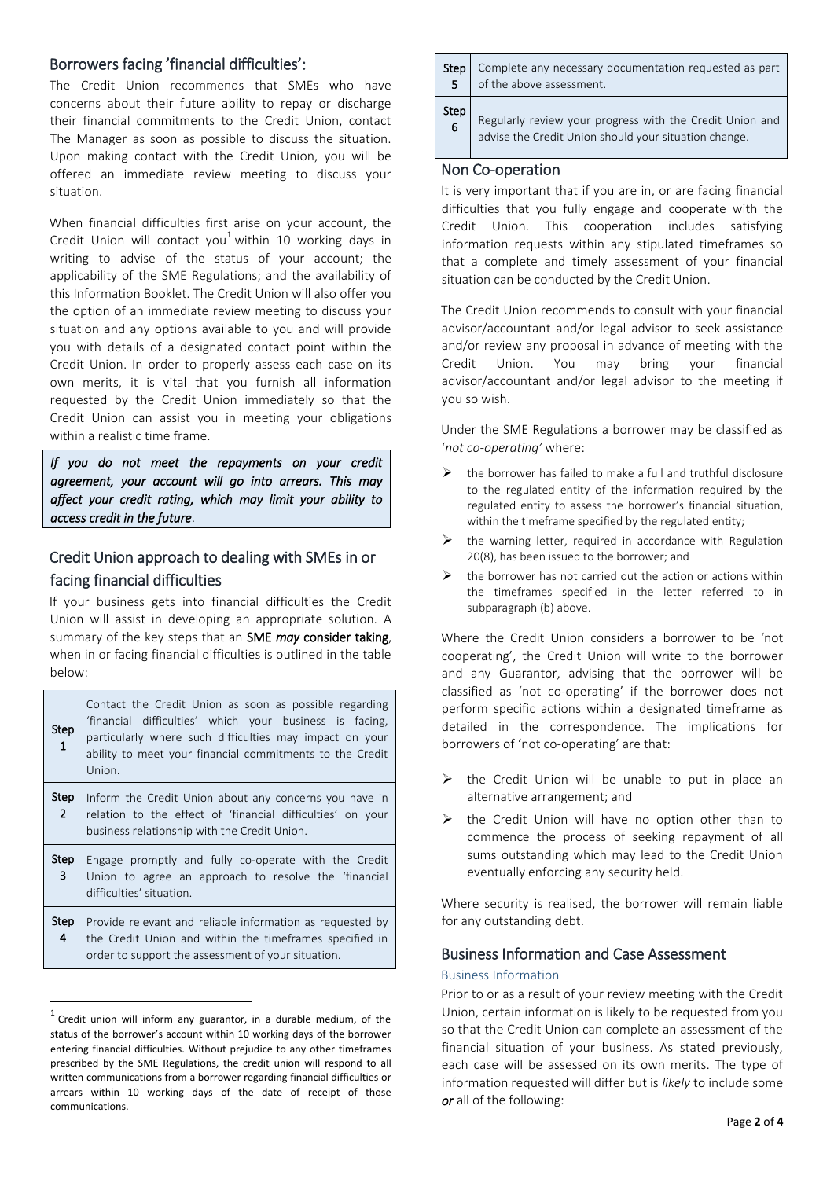## Borrowers facing 'financial difficulties':

The Credit Union recommends that SMEs who have concerns about their future ability to repay or discharge their financial commitments to the Credit Union, contact The Manager as soon as possible to discuss the situation. Upon making contact with the Credit Union, you will be offered an immediate review meeting to discuss your situation.

When financial difficulties first arise on your account, the Credit Union will contact you<sup>1</sup> within 10 working days in writing to advise of the status of your account; the applicability of the SME Regulations; and the availability of this Information Booklet. The Credit Union will also offer you the option of an immediate review meeting to discuss your situation and any options available to you and will provide you with details of a designated contact point within the Credit Union. In order to properly assess each case on its own merits, it is vital that you furnish all information requested by the Credit Union immediately so that the Credit Union can assist you in meeting your obligations within a realistic time frame.

*If you do not meet the repayments on your credit agreement, your account will go into arrears. This may affect your credit rating, which may limit your ability to access credit in the future*.

# Credit Union approach to dealing with SMEs in or facing financial difficulties

If your business gets into financial difficulties the Credit Union will assist in developing an appropriate solution. A summary of the key steps that an SME *may* consider taking, when in or facing financial difficulties is outlined in the table below:

| <b>Step</b><br>$\mathbf{1}$   | Contact the Credit Union as soon as possible regarding<br>'financial difficulties' which your business is facing,<br>particularly where such difficulties may impact on your<br>ability to meet your financial commitments to the Credit<br>Union. |
|-------------------------------|----------------------------------------------------------------------------------------------------------------------------------------------------------------------------------------------------------------------------------------------------|
| <b>Step</b><br>$\overline{2}$ | Inform the Credit Union about any concerns you have in<br>relation to the effect of 'financial difficulties' on your<br>business relationship with the Credit Union.                                                                               |
| <b>Step</b><br>3              | Engage promptly and fully co-operate with the Credit<br>Union to agree an approach to resolve the 'financial<br>difficulties' situation.                                                                                                           |
| <b>Step</b><br>4              | Provide relevant and reliable information as requested by<br>the Credit Union and within the timeframes specified in<br>order to support the assessment of your situation.                                                                         |

 $<sup>1</sup>$  Credit union will inform any guarantor, in a durable medium, of the</sup> status of the borrower's account within 10 working days of the borrower entering financial difficulties. Without prejudice to any other timeframes prescribed by the SME Regulations, the credit union will respond to all written communications from a borrower regarding financial difficulties or arrears within 10 working days of the date of receipt of those communications.

 $\overline{a}$ 

a ka  $\mathcal{L}$ 

| <b>Step</b>    | Complete any necessary documentation requested as part   |
|----------------|----------------------------------------------------------|
| 5              | of the above assessment.                                 |
| <b>Step</b>    | Regularly review your progress with the Credit Union and |
| $\overline{6}$ | advise the Credit Union should your situation change.    |

### Non Co-operation

It is very important that if you are in, or are facing financial difficulties that you fully engage and cooperate with the Credit Union. This cooperation includes satisfying information requests within any stipulated timeframes so that a complete and timely assessment of your financial situation can be conducted by the Credit Union.

The Credit Union recommends to consult with your financial advisor/accountant and/or legal advisor to seek assistance and/or review any proposal in advance of meeting with the Credit Union. You may bring your financial advisor/accountant and/or legal advisor to the meeting if you so wish.

Under the SME Regulations a borrower may be classified as '*not co-operating'* where:

- $\triangleright$  the borrower has failed to make a full and truthful disclosure to the regulated entity of the information required by the regulated entity to assess the borrower's financial situation, within the timeframe specified by the regulated entity;
- the warning letter, required in accordance with Regulation 20(8), has been issued to the borrower; and
- the borrower has not carried out the action or actions within the timeframes specified in the letter referred to in subparagraph (b) above.

Where the Credit Union considers a borrower to be 'not cooperating', the Credit Union will write to the borrower and any Guarantor, advising that the borrower will be classified as 'not co-operating' if the borrower does not perform specific actions within a designated timeframe as detailed in the correspondence. The implications for borrowers of 'not co-operating' are that:

- $\triangleright$  the Credit Union will be unable to put in place an alternative arrangement; and
- $\triangleright$  the Credit Union will have no option other than to commence the process of seeking repayment of all sums outstanding which may lead to the Credit Union eventually enforcing any security held.

Where security is realised, the borrower will remain liable for any outstanding debt.

# Business Information and Case Assessment

#### Business Information

 $\overline{\phantom{0}}$ 

Prior to or as a result of your review meeting with the Credit Union, certain information is likely to be requested from you so that the Credit Union can complete an assessment of the financial situation of your business. As stated previously, each case will be assessed on its own merits. The type of information requested will differ but is *likely* to include some *or* all of the following: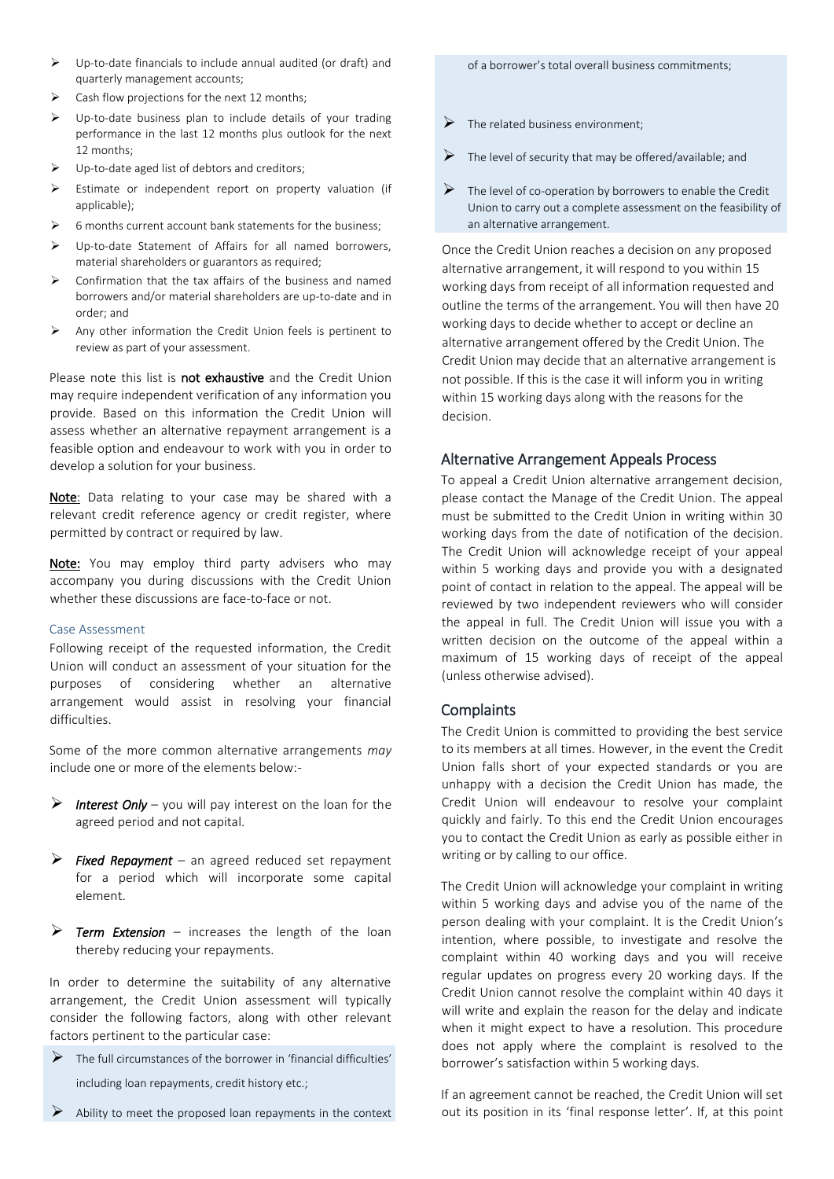- Up-to-date financials to include annual audited (or draft) and quarterly management accounts;
- $\triangleright$  Cash flow projections for the next 12 months;
- $\triangleright$  Up-to-date business plan to include details of your trading performance in the last 12 months plus outlook for the next 12 months;
- Up-to-date aged list of debtors and creditors;
- $\triangleright$  Estimate or independent report on property valuation (if applicable);
- $\triangleright$  6 months current account bank statements for the business:
- Up-to-date Statement of Affairs for all named borrowers, material shareholders or guarantors as required;
- $\triangleright$  Confirmation that the tax affairs of the business and named borrowers and/or material shareholders are up-to-date and in order; and
- $\triangleright$  Any other information the Credit Union feels is pertinent to review as part of your assessment.

Please note this list is not exhaustive and the Credit Union may require independent verification of any information you provide. Based on this information the Credit Union will assess whether an alternative repayment arrangement is a feasible option and endeavour to work with you in order to develop a solution for your business.

Note: Data relating to your case may be shared with a relevant credit reference agency or credit register, where permitted by contract or required by law.

Note: You may employ third party advisers who may accompany you during discussions with the Credit Union whether these discussions are face-to-face or not.

#### Case Assessment

Following receipt of the requested information, the Credit Union will conduct an assessment of your situation for the purposes of considering whether an alternative arrangement would assist in resolving your financial difficulties.

Some of the more common alternative arrangements *may* include one or more of the elements below:-

- *Interest Only* you will pay interest on the loan for the agreed period and not capital.
- *Fixed Repayment* an agreed reduced set repayment for a period which will incorporate some capital element.
- *Term Extension* increases the length of the loan thereby reducing your repayments.

In order to determine the suitability of any alternative arrangement, the Credit Union assessment will typically consider the following factors, along with other relevant factors pertinent to the particular case:

- $\triangleright$  The full circumstances of the borrower in 'financial difficulties' including loan repayments, credit history etc.;
- Ability to meet the proposed loan repayments in the context

of a borrower's total overall business commitments;

- $\triangleright$  The related business environment:
- $\triangleright$  The level of security that may be offered/available; and
- $\triangleright$  The level of co-operation by borrowers to enable the Credit Union to carry out a complete assessment on the feasibility of an alternative arrangement.

Once the Credit Union reaches a decision on any proposed alternative arrangement, it will respond to you within 15 working days from receipt of all information requested and outline the terms of the arrangement. You will then have 20 working days to decide whether to accept or decline an alternative arrangement offered by the Credit Union. The Credit Union may decide that an alternative arrangement is not possible. If this is the case it will inform you in writing within 15 working days along with the reasons for the decision.

# Alternative Arrangement Appeals Process

To appeal a Credit Union alternative arrangement decision, please contact the Manage of the Credit Union. The appeal must be submitted to the Credit Union in writing within 30 working days from the date of notification of the decision. The Credit Union will acknowledge receipt of your appeal within 5 working days and provide you with a designated point of contact in relation to the appeal. The appeal will be reviewed by two independent reviewers who will consider the appeal in full. The Credit Union will issue you with a written decision on the outcome of the appeal within a maximum of 15 working days of receipt of the appeal (unless otherwise advised).

# **Complaints**

The Credit Union is committed to providing the best service to its members at all times. However, in the event the Credit Union falls short of your expected standards or you are unhappy with a decision the Credit Union has made, the Credit Union will endeavour to resolve your complaint quickly and fairly. To this end the Credit Union encourages you to contact the Credit Union as early as possible either in writing or by calling to our office.

The Credit Union will acknowledge your complaint in writing within 5 working days and advise you of the name of the person dealing with your complaint. It is the Credit Union's intention, where possible, to investigate and resolve the complaint within 40 working days and you will receive regular updates on progress every 20 working days. If the Credit Union cannot resolve the complaint within 40 days it will write and explain the reason for the delay and indicate when it might expect to have a resolution. This procedure does not apply where the complaint is resolved to the borrower's satisfaction within 5 working days.

If an agreement cannot be reached, the Credit Union will set out its position in its 'final response letter'. If, at this point